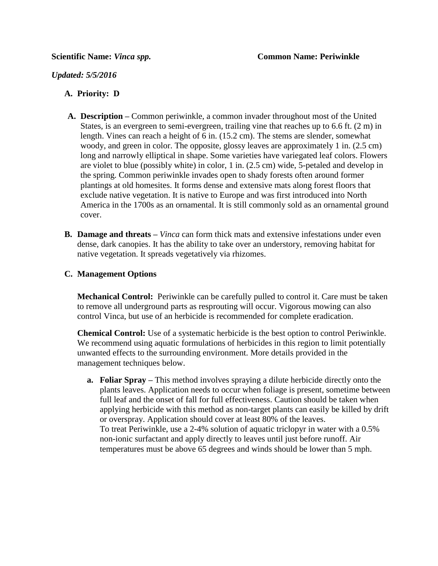## *Updated: 5/5/2016*

## **A. Priority: D**

- **A. Description –** Common periwinkle, a common invader throughout most of the United States, is an evergreen to semi-evergreen, trailing vine that reaches up to 6.6 ft. (2 m) in length. Vines can reach a height of 6 in. (15.2 cm). The stems are slender, somewhat woody, and green in color. The opposite, glossy leaves are approximately 1 in. (2.5 cm) long and narrowly elliptical in shape. Some varieties have variegated leaf colors. Flowers are violet to blue (possibly white) in color, 1 in. (2.5 cm) wide, 5-petaled and develop in the spring. Common periwinkle invades open to shady forests often around former plantings at old homesites. It forms dense and extensive mats along forest floors that exclude native vegetation. It is native to Europe and was first introduced into North America in the 1700s as an ornamental. It is still commonly sold as an ornamental ground cover.
- **B. Damage and threats –** *Vinca* can form thick mats and extensive infestations under even dense, dark canopies. It has the ability to take over an understory, removing habitat for native vegetation. It spreads vegetatively via rhizomes.

#### **C. Management Options**

**Mechanical Control:** Periwinkle can be carefully pulled to control it. Care must be taken to remove all underground parts as resprouting will occur. Vigorous mowing can also control Vinca, but use of an herbicide is recommended for complete eradication.

**Chemical Control:** Use of a systematic herbicide is the best option to control Periwinkle. We recommend using aquatic formulations of herbicides in this region to limit potentially unwanted effects to the surrounding environment. More details provided in the management techniques below.

**a. Foliar Spray –** This method involves spraying a dilute herbicide directly onto the plants leaves. Application needs to occur when foliage is present, sometime between full leaf and the onset of fall for full effectiveness. Caution should be taken when applying herbicide with this method as non-target plants can easily be killed by drift or overspray. Application should cover at least 80% of the leaves. To treat Periwinkle, use a 2-4% solution of aquatic triclopyr in water with a 0.5% non-ionic surfactant and apply directly to leaves until just before runoff. Air temperatures must be above 65 degrees and winds should be lower than 5 mph.